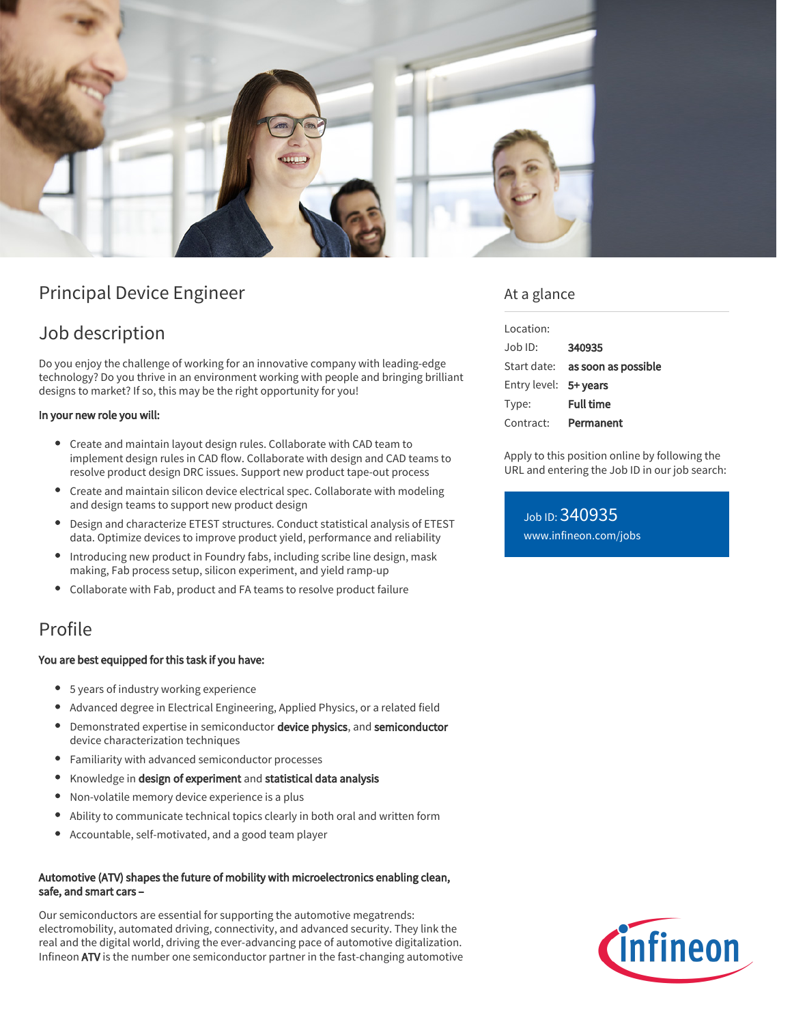

# Principal Device Engineer

# Job description

Do you enjoy the challenge of working for an innovative company with leading-edge technology? Do you thrive in an environment working with people and bringing brilliant designs to market? If so, this may be the right opportunity for you!

#### In your new role you will:

- Create and maintain layout design rules. Collaborate with CAD team to implement design rules in CAD flow. Collaborate with design and CAD teams to resolve product design DRC issues. Support new product tape-out process
- Create and maintain silicon device electrical spec. Collaborate with modeling and design teams to support new product design
- Design and characterize ETEST structures. Conduct statistical analysis of ETEST data. Optimize devices to improve product yield, performance and reliability
- Introducing new product in Foundry fabs, including scribe line design, mask making, Fab process setup, silicon experiment, and yield ramp-up
- Collaborate with Fab, product and FA teams to resolve product failure

### Profile

#### You are best equipped for this task if you have:

- 5 years of industry working experience
- Advanced degree in Electrical Engineering, Applied Physics, or a related field
- Demonstrated expertise in semiconductor device physics, and semiconductor device characterization techniques
- Familiarity with advanced semiconductor processes
- $\bullet$ Knowledge in design of experiment and statistical data analysis
- Non-volatile memory device experience is a plus
- Ability to communicate technical topics clearly in both oral and written form
- Accountable, self-motivated, and a good team player

#### Automotive (ATV) shapes the future of mobility with microelectronics enabling clean, safe, and smart cars –

Our semiconductors are essential for supporting the automotive megatrends: electromobility, automated driving, connectivity, and advanced security. They link the real and the digital world, driving the ever-advancing pace of automotive digitalization. Infineon ATV is the number one semiconductor partner in the fast-changing automotive

### At a glance

| Location:             |                                        |
|-----------------------|----------------------------------------|
| Job ID:               | 340935                                 |
|                       | Start date: <b>as soon as possible</b> |
| Entry level: 5+ years |                                        |
| Type:                 | <b>Full time</b>                       |
| Contract:             | Permanent                              |

Apply to this position online by following the URL and entering the Job ID in our job search:

Job ID: 340935 [www.infineon.com/jobs](https://www.infineon.com/jobs)